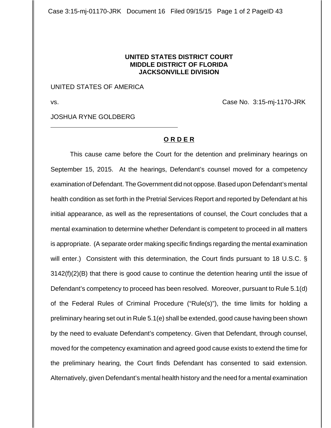Case 3:15-mj-01170-JRK Document 16 Filed 09/15/15 Page 1 of 2 PageID 43

## **UNITED STATES DISTRICT COURT MIDDLE DISTRICT OF FLORIDA JACKSONVILLE DIVISION**

## UNITED STATES OF AMERICA

 $\overline{a}$ 

vs. Case No. 3:15-mj-1170-JRK

JOSHUA RYNE GOLDBERG

## **O R D E R**

This cause came before the Court for the detention and preliminary hearings on September 15, 2015. At the hearings, Defendant's counsel moved for a competency examination of Defendant. The Government did not oppose. Based upon Defendant's mental health condition as set forth in the Pretrial Services Report and reported by Defendant at his initial appearance, as well as the representations of counsel, the Court concludes that a mental examination to determine whether Defendant is competent to proceed in all matters is appropriate. (A separate order making specific findings regarding the mental examination will enter.) Consistent with this determination, the Court finds pursuant to 18 U.S.C. § 3142(f)(2)(B) that there is good cause to continue the detention hearing until the issue of Defendant's competency to proceed has been resolved. Moreover, pursuant to Rule 5.1(d) of the Federal Rules of Criminal Procedure ("Rule(s)"), the time limits for holding a preliminary hearing set out in Rule 5.1(e) shall be extended, good cause having been shown by the need to evaluate Defendant's competency. Given that Defendant, through counsel, moved for the competency examination and agreed good cause exists to extend the time for the preliminary hearing, the Court finds Defendant has consented to said extension. Alternatively, given Defendant's mental health history and the need for a mental examination